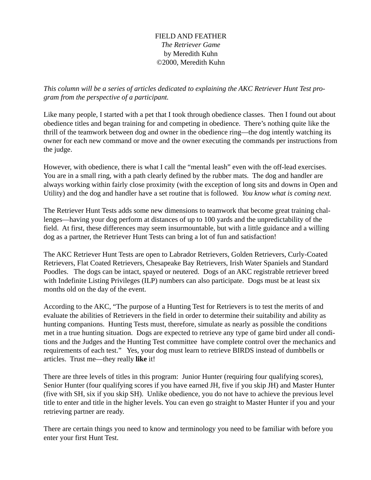## FIELD AND FEATHER *The Retriever Game* by Meredith Kuhn ©2000, Meredith Kuhn

*This column will be a series of articles dedicated to explaining the AKC Retriever Hunt Test program from the perspective of a participant.*

Like many people, I started with a pet that I took through obedience classes. Then I found out about obedience titles and began training for and competing in obedience. There's nothing quite like the thrill of the teamwork between dog and owner in the obedience ring—the dog intently watching its owner for each new command or move and the owner executing the commands per instructions from the judge.

However, with obedience, there is what I call the "mental leash" even with the off-lead exercises. You are in a small ring, with a path clearly defined by the rubber mats. The dog and handler are always working within fairly close proximity (with the exception of long sits and downs in Open and Utility) and the dog and handler have a set routine that is followed. *You know what is coming next.*

The Retriever Hunt Tests adds some new dimensions to teamwork that become great training challenges—having your dog perform at distances of up to 100 yards and the unpredictability of the field. At first, these differences may seem insurmountable, but with a little guidance and a willing dog as a partner, the Retriever Hunt Tests can bring a lot of fun and satisfaction!

The AKC Retriever Hunt Tests are open to Labrador Retrievers, Golden Retrievers, Curly-Coated Retrievers, Flat Coated Retrievers, Chesapeake Bay Retrievers, Irish Water Spaniels and Standard Poodles. The dogs can be intact, spayed or neutered. Dogs of an AKC registrable retriever breed with Indefinite Listing Privileges (ILP) numbers can also participate. Dogs must be at least six months old on the day of the event.

According to the AKC, "The purpose of a Hunting Test for Retrievers is to test the merits of and evaluate the abilities of Retrievers in the field in order to determine their suitability and ability as hunting companions. Hunting Tests must, therefore, simulate as nearly as possible the conditions met in a true hunting situation. Dogs are expected to retrieve any type of game bird under all conditions and the Judges and the Hunting Test committee have complete control over the mechanics and requirements of each test." Yes, your dog must learn to retrieve BIRDS instead of dumbbells or articles. Trust me—they really **like** it!

There are three levels of titles in this program: Junior Hunter (requiring four qualifying scores), Senior Hunter (four qualifying scores if you have earned JH, five if you skip JH) and Master Hunter (five with SH, six if you skip SH). Unlike obedience, you do not have to achieve the previous level title to enter and title in the higher levels. You can even go straight to Master Hunter if you and your retrieving partner are ready.

There are certain things you need to know and terminology you need to be familiar with before you enter your first Hunt Test.